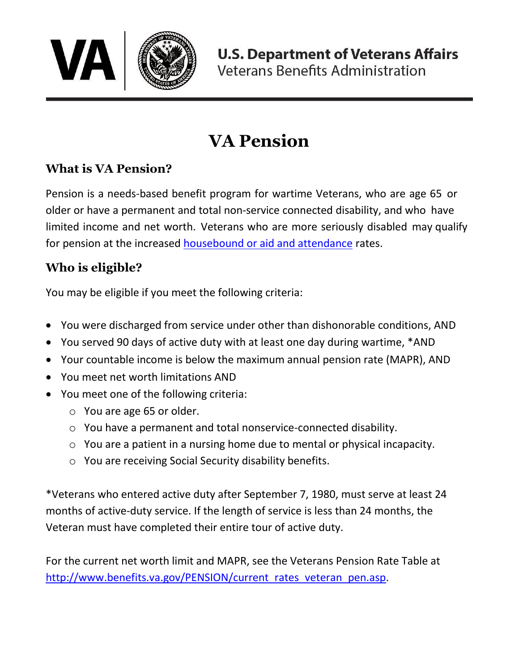

# **VA Pension**

# **What is VA Pension?**

Pension is a needs-based benefit program for wartime Veterans, who are age 65 or older or have a permanent and total non-service connected disability, and who have limited income and net worth. Veterans who are more seriously disabled may qualify for pension at the increased [housebound or aid and attendance](https://benefits.va.gov/BENEFITS/factsheets/limitedincome/EnhancedorSpecialPension.pdf) rates.

## **Who is eligible?**

You may be eligible if you meet the following criteria:

- You were discharged from service under other than dishonorable conditions, AND
- You served 90 days of active duty with at least one day during wartime, \*AND
- Your countable income is below the maximum annual pension rate (MAPR), AND
- You meet net worth limitations AND
- You meet one of the following criteria:
	- o You are age 65 or older.
	- o You have a permanent and total nonservice-connected disability.
	- o You are a patient in a nursing home due to mental or physical incapacity.
	- o You are receiving Social Security disability benefits.

\*Veterans who entered active duty after September 7, 1980, must serve at least 24 months of active-duty service. If the length of service is less than 24 months, the Veteran must have completed their entire tour of active duty.

For the current net worth limit and MAPR, see the Veterans Pension Rate Table at [http://www.benefits.va.gov/PENSION/current\\_rates\\_veteran\\_pen.asp.](https://www.benefits.va.gov/PENSION/current_rates_veteran_pen.asp)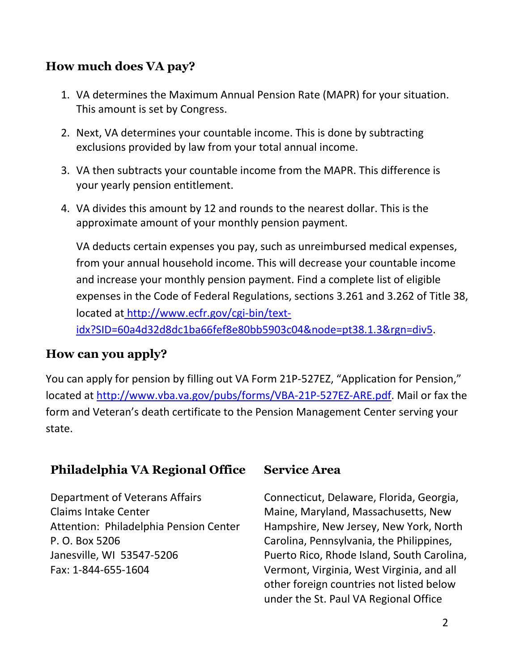## **How much does VA pay?**

- 1. VA determines the Maximum Annual Pension Rate (MAPR) for your situation. This amount is set by Congress.
- 2. Next, VA determines your countable income. This is done by subtracting exclusions provided by law from your total annual income.
- 3. VA then subtracts your countable income from the MAPR. This difference is your yearly pension entitlement.
- 4. VA divides this amount by 12 and rounds to the nearest dollar. This is the approximate amount of your monthly pension payment.

VA deducts certain expenses you pay, such as unreimbursed medical expenses, from your annual household income. This will decrease your countable income and increase your monthly pension payment. Find a complete list of eligible expenses in the Code of Federal Regulations, sections 3.261 and 3.262 of Title 38, located at [http://www.ecfr.gov/cgi-bin/text](https://www.ecfr.gov/cgi-bin/text-idx?SID=60a4d32d8dc1ba66fef8e80bb5903c04&node=pt38.1.3&rgn=div5)[idx?SID=60a4d32d8dc1ba66fef8e80bb5903c04&node=pt38.1.3&rgn=div5.](https://www.ecfr.gov/cgi-bin/text-idx?SID=60a4d32d8dc1ba66fef8e80bb5903c04&node=pt38.1.3&rgn=div5)

#### **How can you apply?**

You can apply for pension by filling out VA Form 21P-527EZ, "Application for Pension," located at [http://www.vba.va.gov/pubs/forms/VBA-21P-527EZ-ARE.pdf.](http://www.vba.va.gov/pubs/forms/VBA-21P-527EZ-ARE.pdf) Mail or fax the form and Veteran's death certificate to the Pension Management Center serving your state.

## **Philadelphia VA Regional Office**

Department of Veterans Affairs Claims Intake Center Attention: Philadelphia Pension Center P. O. Box 5206 Janesville, WI 53547-5206 Fax: 1-844-655-1604

### **Service Area**

Connecticut, Delaware, Florida, Georgia, Maine, Maryland, Massachusetts, New Hampshire, New Jersey, New York, North Carolina, Pennsylvania, the Philippines, Puerto Rico, Rhode Island, South Carolina, Vermont, Virginia, West Virginia, and all other foreign countries not listed below under the St. Paul VA Regional Office